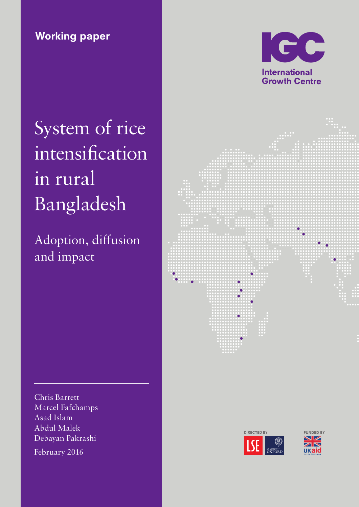Working paper



# System of rice intensification in rural Bangladesh

Adoption, diffusion and impact



Chris Barrett Marcel Fafchamps Asad Islam Abdul Malek Debayan Pakrashi February 2016



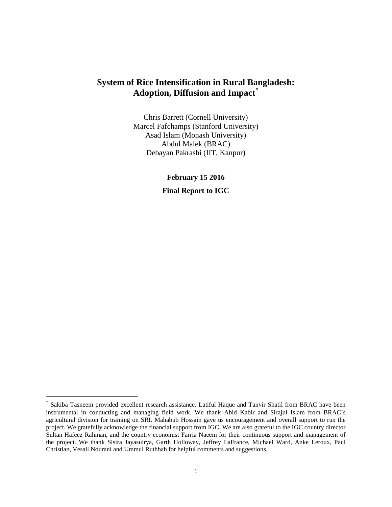## **System of Rice Intensification in Rural Bangladesh: Adoption, Diffusion and Impact[\\*](#page-1-0)**

Chris Barrett (Cornell University) Marcel Fafchamps (Stanford University) Asad Islam (Monash University) Abdul Malek (BRAC) Debayan Pakrashi (IIT, Kanpur)

> **February 15 2016 Final Report to IGC**

<span id="page-1-0"></span>Sakiba Tasneem provided excellent research assistance. Latiful Haque and Tanvir Shatil from BRAC have been instrumental in conducting and managing field work. We thank Abid Kabir and Sirajul Islam from BRAC's agricultural division for training on SRI. Mahabub Hossain gave us encouragement and overall support to run the project. We gratefully acknowledge the financial support from IGC. We are also grateful to the IGC country director Sultan Hafeez Rahman, and the country economist Farria Naeem for their continuous support and management of the project. We thank Sisira Jayasuirya, Garth Holloway, Jeffrey LaFrance, Michael Ward, Anke Leroux, Paul Christian, Vesall Nourani and Ummul Ruthbah for helpful comments and suggestions.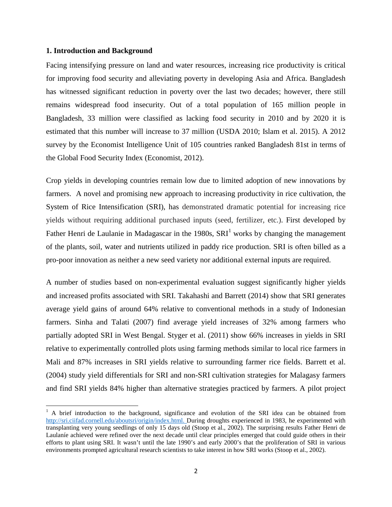#### **1. Introduction and Background**

l

Facing intensifying pressure on land and water resources, increasing rice productivity is critical for improving food security and alleviating poverty in developing Asia and Africa. Bangladesh has witnessed significant reduction in poverty over the last two decades; however, there still remains widespread food insecurity. Out of a total population of 165 million people in Bangladesh, 33 million were classified as lacking food security in 2010 and by 2020 it is estimated that this number will increase to 37 million (USDA 2010; Islam et al. 2015). A 2012 survey by the Economist Intelligence Unit of 105 countries ranked Bangladesh 81st in terms of the Global Food Security Index (Economist, 2012).

Crop yields in developing countries remain low due to limited adoption of new innovations by farmers. A novel and promising new approach to increasing productivity in rice cultivation, the System of Rice Intensification (SRI), has demonstrated dramatic potential for increasing rice yields without requiring additional purchased inputs (seed, fertilizer, etc.). First developed by Father Henri de Laulanie in Madagascar in the [1](#page-2-0)980s,  $SRI<sup>1</sup>$  works by changing the management of the plants, soil, water and nutrients utilized in paddy rice production. SRI is often billed as a pro-poor innovation as neither a new seed variety nor additional external inputs are required.

A number of studies based on non-experimental evaluation suggest significantly higher yields and increased profits associated with SRI. Takahashi and Barrett (2014) show that SRI generates average yield gains of around 64% relative to conventional methods in a study of Indonesian farmers. Sinha and Talati (2007) find average yield increases of 32% among farmers who partially adopted SRI in West Bengal. Styger et al. (2011) show 66% increases in yields in SRI relative to experimentally controlled plots using farming methods similar to local rice farmers in Mali and 87% increases in SRI yields relative to surrounding farmer rice fields. Barrett et al. (2004) study yield differentials for SRI and non-SRI cultivation strategies for Malagasy farmers and find SRI yields 84% higher than alternative strategies practiced by farmers. A pilot project

<span id="page-2-0"></span><sup>&</sup>lt;sup>1</sup> A brief introduction to the background, significance and evolution of the SRI idea can be obtained from [http://sri.ciifad.cornell.edu/aboutsri/origin/index.html.](http://sri.ciifad.cornell.edu/aboutsri/origin/index.html) During droughts experienced in 1983, he experimented with transplanting very young seedlings of only 15 days old (Stoop et al., 2002). The surprising results Father Henri de Laulaníe achieved were refined over the next decade until clear principles emerged that could guide others in their efforts to plant using SRI. It wasn't until the late 1990's and early 2000's that the proliferation of SRI in various environments prompted agricultural research scientists to take interest in how SRI works (Stoop et al., 2002).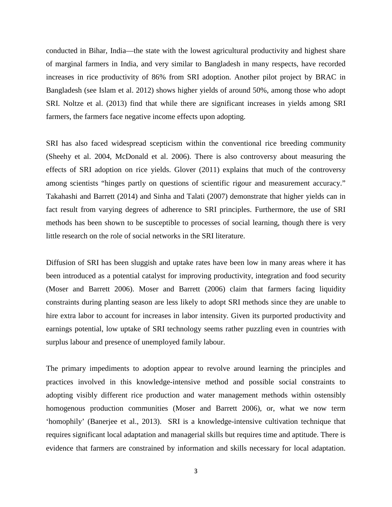conducted in Bihar, India—the state with the lowest agricultural productivity and highest share of marginal farmers in India, and very similar to Bangladesh in many respects, have recorded increases in rice productivity of 86% from SRI adoption. Another pilot project by BRAC in Bangladesh (see Islam et al. 2012) shows higher yields of around 50%, among those who adopt SRI. Noltze et al. (2013) find that while there are significant increases in yields among SRI farmers, the farmers face negative income effects upon adopting.

SRI has also faced widespread scepticism within the conventional rice breeding community (Sheehy et al. 2004, McDonald et al. 2006). There is also controversy about measuring the effects of SRI adoption on rice yields. Glover (2011) explains that much of the controversy among scientists "hinges partly on questions of scientific rigour and measurement accuracy." Takahashi and Barrett (2014) and Sinha and Talati (2007) demonstrate that higher yields can in fact result from varying degrees of adherence to SRI principles. Furthermore, the use of SRI methods has been shown to be susceptible to processes of social learning, though there is very little research on the role of social networks in the SRI literature.

Diffusion of SRI has been sluggish and uptake rates have been low in many areas where it has been introduced as a potential catalyst for improving productivity, integration and food security (Moser and Barrett 2006). Moser and Barrett (2006) claim that farmers facing liquidity constraints during planting season are less likely to adopt SRI methods since they are unable to hire extra labor to account for increases in labor intensity. Given its purported productivity and earnings potential, low uptake of SRI technology seems rather puzzling even in countries with surplus labour and presence of unemployed family labour.

The primary impediments to adoption appear to revolve around learning the principles and practices involved in this knowledge-intensive method and possible social constraints to adopting visibly different rice production and water management methods within ostensibly homogenous production communities (Moser and Barrett 2006), or, what we now term 'homophily' (Banerjee et al., 2013). SRI is a knowledge-intensive cultivation technique that requires significant local adaptation and managerial skills but requires time and aptitude. There is evidence that farmers are constrained by information and skills necessary for local adaptation.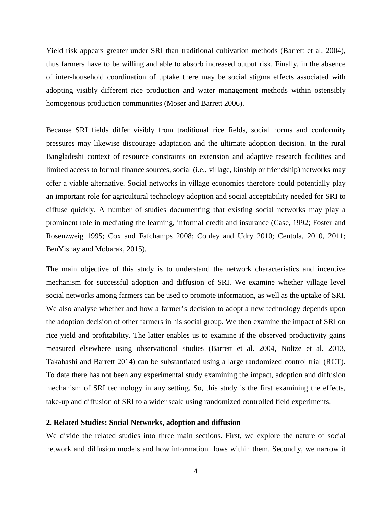Yield risk appears greater under SRI than traditional cultivation methods (Barrett et al. 2004), thus farmers have to be willing and able to absorb increased output risk. Finally, in the absence of inter-household coordination of uptake there may be social stigma effects associated with adopting visibly different rice production and water management methods within ostensibly homogenous production communities (Moser and Barrett 2006).

Because SRI fields differ visibly from traditional rice fields, social norms and conformity pressures may likewise discourage adaptation and the ultimate adoption decision. In the rural Bangladeshi context of resource constraints on extension and adaptive research facilities and limited access to formal finance sources, social (i.e., village, kinship or friendship) networks may offer a viable alternative. Social networks in village economies therefore could potentially play an important role for agricultural technology adoption and social acceptability needed for SRI to diffuse quickly. A number of studies documenting that existing social networks may play a prominent role in mediating the learning, informal credit and insurance (Case, 1992; Foster and Rosenzweig 1995; Cox and Fafchamps 2008; Conley and Udry 2010; Centola, 2010, 2011; BenYishay and Mobarak, 2015).

The main objective of this study is to understand the network characteristics and incentive mechanism for successful adoption and diffusion of SRI. We examine whether village level social networks among farmers can be used to promote information, as well as the uptake of SRI. We also analyse whether and how a farmer's decision to adopt a new technology depends upon the adoption decision of other farmers in his social group. We then examine the impact of SRI on rice yield and profitability. The latter enables us to examine if the observed productivity gains measured elsewhere using observational studies (Barrett et al. 2004, Noltze et al. 2013, Takahashi and Barrett 2014) can be substantiated using a large randomized control trial (RCT). To date there has not been any experimental study examining the impact, adoption and diffusion mechanism of SRI technology in any setting. So, this study is the first examining the effects, take-up and diffusion of SRI to a wider scale using randomized controlled field experiments.

#### **2. Related Studies: Social Networks, adoption and diffusion**

We divide the related studies into three main sections. First, we explore the nature of social network and diffusion models and how information flows within them. Secondly, we narrow it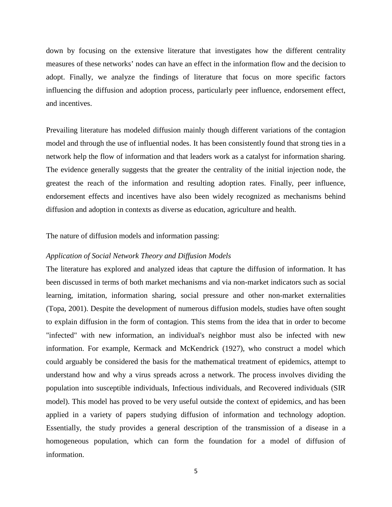down by focusing on the extensive literature that investigates how the different centrality measures of these networks' nodes can have an effect in the information flow and the decision to adopt. Finally, we analyze the findings of literature that focus on more specific factors influencing the diffusion and adoption process, particularly peer influence, endorsement effect, and incentives.

Prevailing literature has modeled diffusion mainly though different variations of the contagion model and through the use of influential nodes. It has been consistently found that strong ties in a network help the flow of information and that leaders work as a catalyst for information sharing. The evidence generally suggests that the greater the centrality of the initial injection node, the greatest the reach of the information and resulting adoption rates. Finally, peer influence, endorsement effects and incentives have also been widely recognized as mechanisms behind diffusion and adoption in contexts as diverse as education, agriculture and health.

The nature of diffusion models and information passing:

#### *Application of Social Network Theory and Diffusion Models*

The literature has explored and analyzed ideas that capture the diffusion of information. It has been discussed in terms of both market mechanisms and via non-market indicators such as social learning, imitation, information sharing, social pressure and other non-market externalities (Topa, 2001). Despite the development of numerous diffusion models, studies have often sought to explain diffusion in the form of contagion. This stems from the idea that in order to become "infected" with new information, an individual's neighbor must also be infected with new information. For example, Kermack and McKendrick (1927), who construct a model which could arguably be considered the basis for the mathematical treatment of epidemics, attempt to understand how and why a virus spreads across a network. The process involves dividing the population into susceptible individuals, Infectious individuals, and Recovered individuals (SIR model). This model has proved to be very useful outside the context of epidemics, and has been applied in a variety of papers studying diffusion of information and technology adoption. Essentially, the study provides a general description of the transmission of a disease in a homogeneous population, which can form the foundation for a model of diffusion of information.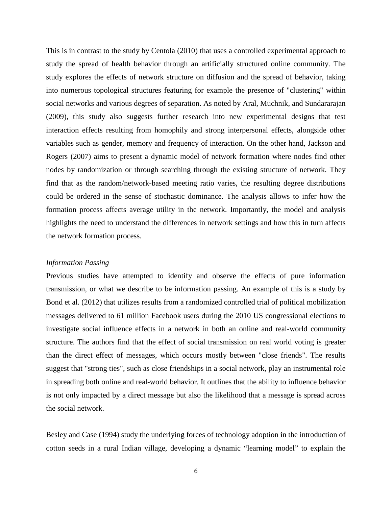This is in contrast to the study by Centola (2010) that uses a controlled experimental approach to study the spread of health behavior through an artificially structured online community. The study explores the effects of network structure on diffusion and the spread of behavior, taking into numerous topological structures featuring for example the presence of "clustering" within social networks and various degrees of separation. As noted by Aral, Muchnik, and Sundararajan (2009), this study also suggests further research into new experimental designs that test interaction effects resulting from homophily and strong interpersonal effects, alongside other variables such as gender, memory and frequency of interaction. On the other hand, Jackson and Rogers (2007) aims to present a dynamic model of network formation where nodes find other nodes by randomization or through searching through the existing structure of network. They find that as the random/network-based meeting ratio varies, the resulting degree distributions could be ordered in the sense of stochastic dominance. The analysis allows to infer how the formation process affects average utility in the network. Importantly, the model and analysis highlights the need to understand the differences in network settings and how this in turn affects the network formation process.

#### *Information Passing*

Previous studies have attempted to identify and observe the effects of pure information transmission, or what we describe to be information passing. An example of this is a study by Bond et al. (2012) that utilizes results from a randomized controlled trial of political mobilization messages delivered to 61 million Facebook users during the 2010 US congressional elections to investigate social influence effects in a network in both an online and real-world community structure. The authors find that the effect of social transmission on real world voting is greater than the direct effect of messages, which occurs mostly between "close friends". The results suggest that "strong ties", such as close friendships in a social network, play an instrumental role in spreading both online and real-world behavior. It outlines that the ability to influence behavior is not only impacted by a direct message but also the likelihood that a message is spread across the social network.

Besley and Case (1994) study the underlying forces of technology adoption in the introduction of cotton seeds in a rural Indian village, developing a dynamic "learning model" to explain the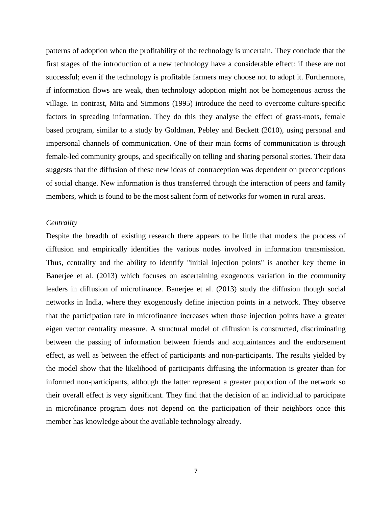patterns of adoption when the profitability of the technology is uncertain. They conclude that the first stages of the introduction of a new technology have a considerable effect: if these are not successful; even if the technology is profitable farmers may choose not to adopt it. Furthermore, if information flows are weak, then technology adoption might not be homogenous across the village. In contrast, Mita and Simmons (1995) introduce the need to overcome culture-specific factors in spreading information. They do this they analyse the effect of grass-roots, female based program, similar to a study by Goldman, Pebley and Beckett (2010), using personal and impersonal channels of communication. One of their main forms of communication is through female-led community groups, and specifically on telling and sharing personal stories. Their data suggests that the diffusion of these new ideas of contraception was dependent on preconceptions of social change. New information is thus transferred through the interaction of peers and family members, which is found to be the most salient form of networks for women in rural areas.

#### *Centrality*

Despite the breadth of existing research there appears to be little that models the process of diffusion and empirically identifies the various nodes involved in information transmission. Thus, centrality and the ability to identify "initial injection points" is another key theme in Banerjee et al. (2013) which focuses on ascertaining exogenous variation in the community leaders in diffusion of microfinance. Banerjee et al. (2013) study the diffusion though social networks in India, where they exogenously define injection points in a network. They observe that the participation rate in microfinance increases when those injection points have a greater eigen vector centrality measure. A structural model of diffusion is constructed, discriminating between the passing of information between friends and acquaintances and the endorsement effect, as well as between the effect of participants and non-participants. The results yielded by the model show that the likelihood of participants diffusing the information is greater than for informed non-participants, although the latter represent a greater proportion of the network so their overall effect is very significant. They find that the decision of an individual to participate in microfinance program does not depend on the participation of their neighbors once this member has knowledge about the available technology already.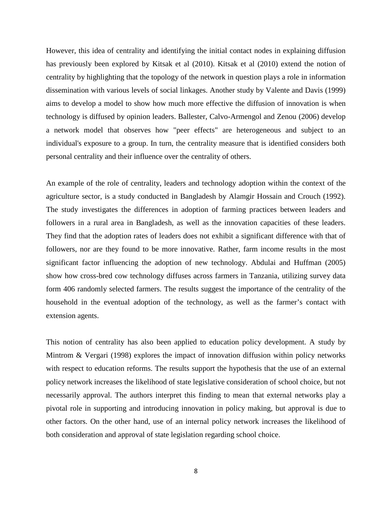However, this idea of centrality and identifying the initial contact nodes in explaining diffusion has previously been explored by Kitsak et al (2010). Kitsak et al (2010) extend the notion of centrality by highlighting that the topology of the network in question plays a role in information dissemination with various levels of social linkages. Another study by Valente and Davis (1999) aims to develop a model to show how much more effective the diffusion of innovation is when technology is diffused by opinion leaders. Ballester, Calvo-Armengol and Zenou (2006) develop a network model that observes how "peer effects" are heterogeneous and subject to an individual's exposure to a group. In turn, the centrality measure that is identified considers both personal centrality and their influence over the centrality of others.

An example of the role of centrality, leaders and technology adoption within the context of the agriculture sector, is a study conducted in Bangladesh by Alamgir Hossain and Crouch (1992). The study investigates the differences in adoption of farming practices between leaders and followers in a rural area in Bangladesh, as well as the innovation capacities of these leaders. They find that the adoption rates of leaders does not exhibit a significant difference with that of followers, nor are they found to be more innovative. Rather, farm income results in the most significant factor influencing the adoption of new technology. Abdulai and Huffman (2005) show how cross-bred cow technology diffuses across farmers in Tanzania, utilizing survey data form 406 randomly selected farmers. The results suggest the importance of the centrality of the household in the eventual adoption of the technology, as well as the farmer's contact with extension agents.

This notion of centrality has also been applied to education policy development. A study by Mintrom & Vergari (1998) explores the impact of innovation diffusion within policy networks with respect to education reforms. The results support the hypothesis that the use of an external policy network increases the likelihood of state legislative consideration of school choice, but not necessarily approval. The authors interpret this finding to mean that external networks play a pivotal role in supporting and introducing innovation in policy making, but approval is due to other factors. On the other hand, use of an internal policy network increases the likelihood of both consideration and approval of state legislation regarding school choice.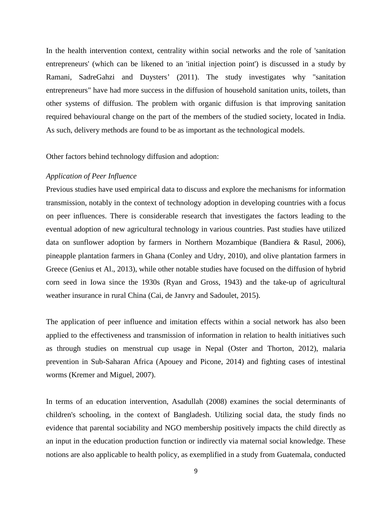In the health intervention context, centrality within social networks and the role of 'sanitation entrepreneurs' (which can be likened to an 'initial injection point') is discussed in a study by Ramani, SadreGahzi and Duysters' (2011). The study investigates why "sanitation entrepreneurs" have had more success in the diffusion of household sanitation units, toilets, than other systems of diffusion. The problem with organic diffusion is that improving sanitation required behavioural change on the part of the members of the studied society, located in India. As such, delivery methods are found to be as important as the technological models.

Other factors behind technology diffusion and adoption:

#### *Application of Peer Influence*

Previous studies have used empirical data to discuss and explore the mechanisms for information transmission, notably in the context of technology adoption in developing countries with a focus on peer influences. There is considerable research that investigates the factors leading to the eventual adoption of new agricultural technology in various countries. Past studies have utilized data on sunflower adoption by farmers in Northern Mozambique (Bandiera & Rasul, 2006), pineapple plantation farmers in Ghana (Conley and Udry, 2010), and olive plantation farmers in Greece (Genius et Al., 2013), while other notable studies have focused on the diffusion of hybrid corn seed in Iowa since the 1930s (Ryan and Gross, 1943) and the take-up of agricultural weather insurance in rural China (Cai, de Janvry and Sadoulet, 2015).

The application of peer influence and imitation effects within a social network has also been applied to the effectiveness and transmission of information in relation to health initiatives such as through studies on menstrual cup usage in Nepal (Oster and Thorton, 2012), malaria prevention in Sub-Saharan Africa (Apouey and Picone, 2014) and fighting cases of intestinal worms (Kremer and Miguel, 2007).

In terms of an education intervention, Asadullah (2008) examines the social determinants of children's schooling, in the context of Bangladesh. Utilizing social data, the study finds no evidence that parental sociability and NGO membership positively impacts the child directly as an input in the education production function or indirectly via maternal social knowledge. These notions are also applicable to health policy, as exemplified in a study from Guatemala, conducted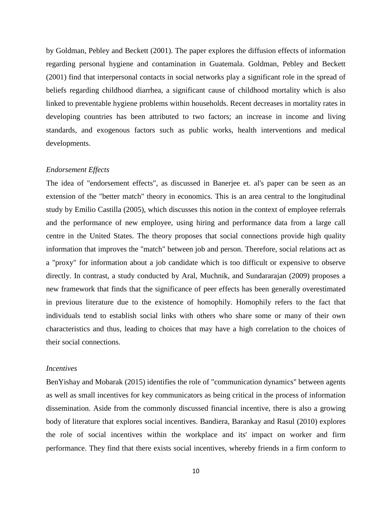by Goldman, Pebley and Beckett (2001). The paper explores the diffusion effects of information regarding personal hygiene and contamination in Guatemala. Goldman, Pebley and Beckett (2001) find that interpersonal contacts in social networks play a significant role in the spread of beliefs regarding childhood diarrhea, a significant cause of childhood mortality which is also linked to preventable hygiene problems within households. Recent decreases in mortality rates in developing countries has been attributed to two factors; an increase in income and living standards, and exogenous factors such as public works, health interventions and medical developments.

#### *Endorsement Effects*

The idea of "endorsement effects", as discussed in Banerjee et. al's paper can be seen as an extension of the "better match" theory in economics. This is an area central to the longitudinal study by Emilio Castilla (2005), which discusses this notion in the context of employee referrals and the performance of new employee, using hiring and performance data from a large call centre in the United States. The theory proposes that social connections provide high quality information that improves the "match" between job and person. Therefore, social relations act as a "proxy" for information about a job candidate which is too difficult or expensive to observe directly. In contrast, a study conducted by Aral, Muchnik, and Sundararajan (2009) proposes a new framework that finds that the significance of peer effects has been generally overestimated in previous literature due to the existence of homophily. Homophily refers to the fact that individuals tend to establish social links with others who share some or many of their own characteristics and thus, leading to choices that may have a high correlation to the choices of their social connections.

#### *Incentives*

BenYishay and Mobarak (2015) identifies the role of "communication dynamics" between agents as well as small incentives for key communicators as being critical in the process of information dissemination. Aside from the commonly discussed financial incentive, there is also a growing body of literature that explores social incentives. Bandiera, Barankay and Rasul (2010) explores the role of social incentives within the workplace and its' impact on worker and firm performance. They find that there exists social incentives, whereby friends in a firm conform to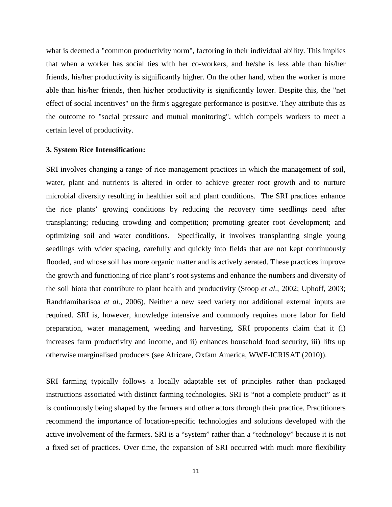what is deemed a "common productivity norm", factoring in their individual ability. This implies that when a worker has social ties with her co-workers, and he/she is less able than his/her friends, his/her productivity is significantly higher. On the other hand, when the worker is more able than his/her friends, then his/her productivity is significantly lower. Despite this, the "net effect of social incentives" on the firm's aggregate performance is positive. They attribute this as the outcome to "social pressure and mutual monitoring", which compels workers to meet a certain level of productivity.

#### **3. System Rice Intensification:**

SRI involves changing a range of rice management practices in which the management of soil, water, plant and nutrients is altered in order to achieve greater root growth and to nurture microbial diversity resulting in healthier soil and plant conditions. The SRI practices enhance the rice plants' growing conditions by reducing the recovery time seedlings need after transplanting; reducing crowding and competition; promoting greater root development; and optimizing soil and water conditions. Specifically, it involves transplanting single young seedlings with wider spacing, carefully and quickly into fields that are not kept continuously flooded, and whose soil has more organic matter and is actively aerated. These practices improve the growth and functioning of rice plant's root systems and enhance the numbers and diversity of the soil biota that contribute to plant health and productivity (Stoop *et al.,* 2002; Uphoff, 2003; Randriamiharisoa *et al.,* 2006). Neither a new seed variety nor additional external inputs are required. SRI is, however, knowledge intensive and commonly requires more labor for field preparation, water management, weeding and harvesting. SRI proponents claim that it (i) increases farm productivity and income, and ii) enhances household food security, iii) lifts up otherwise marginalised producers (see Africare, Oxfam America, WWF-ICRISAT (2010)).

SRI farming typically follows a locally adaptable set of principles rather than packaged instructions associated with distinct farming technologies. SRI is "not a complete product" as it is continuously being shaped by the farmers and other actors through their practice. Practitioners recommend the importance of location-specific technologies and solutions developed with the active involvement of the farmers. SRI is a "system" rather than a "technology" because it is not a fixed set of practices. Over time, the expansion of SRI occurred with much more flexibility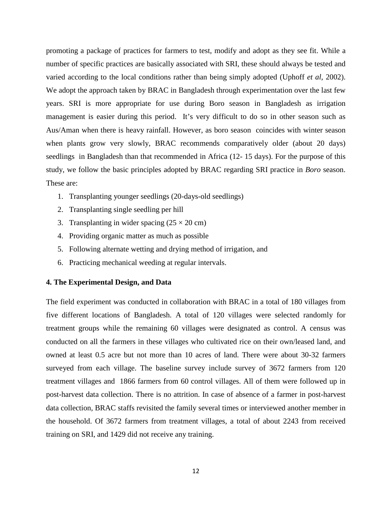promoting a package of practices for farmers to test, modify and adopt as they see fit. While a number of specific practices are basically associated with SRI, these should always be tested and varied according to the local conditions rather than being simply adopted (Uphoff *et al*, 2002). We adopt the approach taken by BRAC in Bangladesh through experimentation over the last few years. SRI is more appropriate for use during Boro season in Bangladesh as irrigation management is easier during this period. It's very difficult to do so in other season such as Aus/Aman when there is heavy rainfall. However, as boro season coincides with winter season when plants grow very slowly, BRAC recommends comparatively older (about 20 days) seedlings in Bangladesh than that recommended in Africa (12- 15 days). For the purpose of this study, we follow the basic principles adopted by BRAC regarding SRI practice in *Boro* season. These are:

- 1. Transplanting younger seedlings (20-days-old seedlings)
- 2. Transplanting single seedling per hill
- 3. Transplanting in wider spacing  $(25 \times 20 \text{ cm})$
- 4. Providing organic matter as much as possible
- 5. Following alternate wetting and drying method of irrigation, and
- 6. Practicing mechanical weeding at regular intervals.

#### **4. The Experimental Design, and Data**

The field experiment was conducted in collaboration with BRAC in a total of 180 villages from five different locations of Bangladesh. A total of 120 villages were selected randomly for treatment groups while the remaining 60 villages were designated as control. A census was conducted on all the farmers in these villages who cultivated rice on their own/leased land, and owned at least 0.5 acre but not more than 10 acres of land. There were about 30-32 farmers surveyed from each village. The baseline survey include survey of 3672 farmers from 120 treatment villages and 1866 farmers from 60 control villages. All of them were followed up in post-harvest data collection. There is no attrition. In case of absence of a farmer in post-harvest data collection, BRAC staffs revisited the family several times or interviewed another member in the household. Of 3672 farmers from treatment villages, a total of about 2243 from received training on SRI, and 1429 did not receive any training.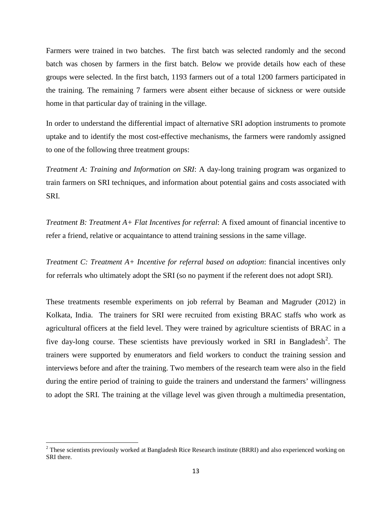Farmers were trained in two batches. The first batch was selected randomly and the second batch was chosen by farmers in the first batch. Below we provide details how each of these groups were selected. In the first batch, 1193 farmers out of a total 1200 farmers participated in the training. The remaining 7 farmers were absent either because of sickness or were outside home in that particular day of training in the village.

In order to understand the differential impact of alternative SRI adoption instruments to promote uptake and to identify the most cost-effective mechanisms, the farmers were randomly assigned to one of the following three treatment groups:

*Treatment A: Training and Information on SRI*: A day-long training program was organized to train farmers on SRI techniques, and information about potential gains and costs associated with SRI.

*Treatment B: Treatment A+ Flat Incentives for referral*: A fixed amount of financial incentive to refer a friend, relative or acquaintance to attend training sessions in the same village.

*Treatment C: Treatment A+ Incentive for referral based on adoption*: financial incentives only for referrals who ultimately adopt the SRI (so no payment if the referent does not adopt SRI).

These treatments resemble experiments on job referral by Beaman and Magruder (2012) in Kolkata, India. The trainers for SRI were recruited from existing BRAC staffs who work as agricultural officers at the field level. They were trained by agriculture scientists of BRAC in a five day-long course. These scientists have previously worked in SRI in Bangladesh<sup>[2](#page-13-0)</sup>. The trainers were supported by enumerators and field workers to conduct the training session and interviews before and after the training. Two members of the research team were also in the field during the entire period of training to guide the trainers and understand the farmers' willingness to adopt the SRI. The training at the village level was given through a multimedia presentation,

l

<span id="page-13-0"></span> $2$  These scientists previously worked at Bangladesh Rice Research institute (BRRI) and also experienced working on SRI there.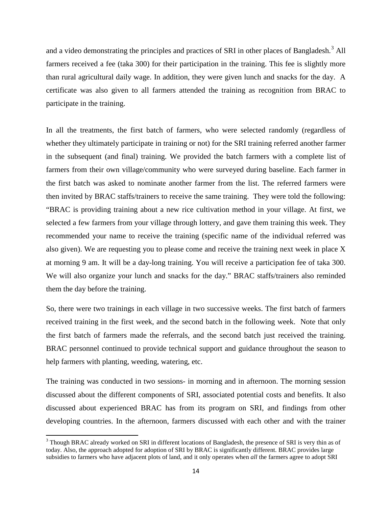and a video demonstrating the principles and practices of SRI in other places of Bangladesh.<sup>[3](#page-14-0)</sup> All farmers received a fee (taka 300) for their participation in the training. This fee is slightly more than rural agricultural daily wage. In addition, they were given lunch and snacks for the day. A certificate was also given to all farmers attended the training as recognition from BRAC to participate in the training.

In all the treatments, the first batch of farmers, who were selected randomly (regardless of whether they ultimately participate in training or not) for the SRI training referred another farmer in the subsequent (and final) training. We provided the batch farmers with a complete list of farmers from their own village/community who were surveyed during baseline. Each farmer in the first batch was asked to nominate another farmer from the list. The referred farmers were then invited by BRAC staffs/trainers to receive the same training. They were told the following: "BRAC is providing training about a new rice cultivation method in your village. At first, we selected a few farmers from your village through lottery, and gave them training this week. They recommended your name to receive the training (specific name of the individual referred was also given). We are requesting you to please come and receive the training next week in place X at morning 9 am. It will be a day-long training. You will receive a participation fee of taka 300. We will also organize your lunch and snacks for the day." BRAC staffs/trainers also reminded them the day before the training.

So, there were two trainings in each village in two successive weeks. The first batch of farmers received training in the first week, and the second batch in the following week. Note that only the first batch of farmers made the referrals, and the second batch just received the training. BRAC personnel continued to provide technical support and guidance throughout the season to help farmers with planting, weeding, watering, etc.

The training was conducted in two sessions- in morning and in afternoon. The morning session discussed about the different components of SRI, associated potential costs and benefits. It also discussed about experienced BRAC has from its program on SRI, and findings from other developing countries. In the afternoon, farmers discussed with each other and with the trainer

 $\overline{\phantom{a}}$ 

<span id="page-14-0"></span><sup>&</sup>lt;sup>3</sup> Though BRAC already worked on SRI in different locations of Bangladesh, the presence of SRI is very thin as of today. Also, the approach adopted for adoption of SRI by BRAC is significantly different. BRAC provides large subsidies to farmers who have adjacent plots of land, and it only operates when *all* the farmers agree to adopt SRI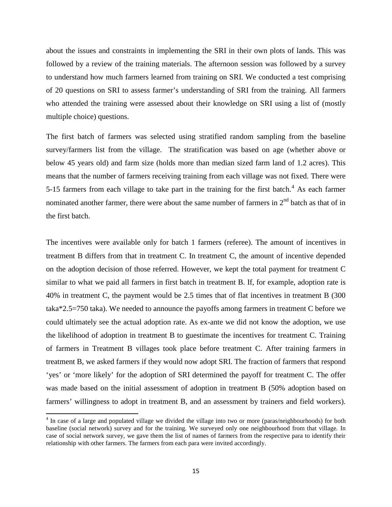about the issues and constraints in implementing the SRI in their own plots of lands. This was followed by a review of the training materials. The afternoon session was followed by a survey to understand how much farmers learned from training on SRI. We conducted a test comprising of 20 questions on SRI to assess farmer's understanding of SRI from the training. All farmers who attended the training were assessed about their knowledge on SRI using a list of (mostly multiple choice) questions.

The first batch of farmers was selected using stratified random sampling from the baseline survey/farmers list from the village. The stratification was based on age (whether above or below 45 years old) and farm size (holds more than median sized farm land of 1.2 acres). This means that the number of farmers receiving training from each village was not fixed. There were 5-15 farmers from each village to take part in the training for the first batch.<sup>[4](#page-15-0)</sup> As each farmer nominated another farmer, there were about the same number of farmers in  $2<sup>nd</sup>$  batch as that of in the first batch.

The incentives were available only for batch 1 farmers (referee). The amount of incentives in treatment B differs from that in treatment C. In treatment C, the amount of incentive depended on the adoption decision of those referred. However, we kept the total payment for treatment C similar to what we paid all farmers in first batch in treatment B. If, for example, adoption rate is 40% in treatment C, the payment would be 2.5 times that of flat incentives in treatment B (300 taka\*2.5=750 taka). We needed to announce the payoffs among farmers in treatment C before we could ultimately see the actual adoption rate. As ex-ante we did not know the adoption, we use the likelihood of adoption in treatment B to guestimate the incentives for treatment C. Training of farmers in Treatment B villages took place before treatment C. After training farmers in treatment B, we asked farmers if they would now adopt SRI. The fraction of farmers that respond 'yes' or 'more likely' for the adoption of SRI determined the payoff for treatment C. The offer was made based on the initial assessment of adoption in treatment B (50% adoption based on farmers' willingness to adopt in treatment B, and an assessment by trainers and field workers).

l

<span id="page-15-0"></span><sup>&</sup>lt;sup>4</sup> In case of a large and populated village we divided the village into two or more (paras/neighbourhoods) for both baseline (social network) survey and for the training. We surveyed only one neighbourhood from that village. In case of social network survey, we gave them the list of names of farmers from the respective para to identify their relationship with other farmers. The farmers from each para were invited accordingly.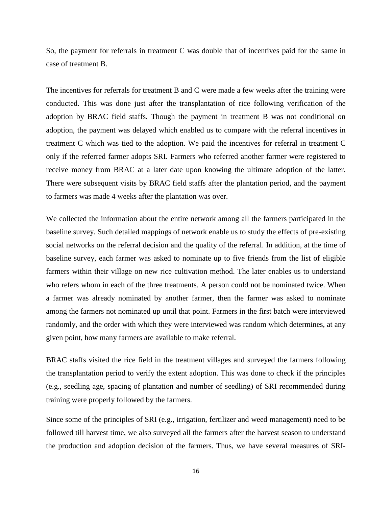So, the payment for referrals in treatment C was double that of incentives paid for the same in case of treatment B.

The incentives for referrals for treatment B and C were made a few weeks after the training were conducted. This was done just after the transplantation of rice following verification of the adoption by BRAC field staffs. Though the payment in treatment B was not conditional on adoption, the payment was delayed which enabled us to compare with the referral incentives in treatment C which was tied to the adoption. We paid the incentives for referral in treatment C only if the referred farmer adopts SRI. Farmers who referred another farmer were registered to receive money from BRAC at a later date upon knowing the ultimate adoption of the latter. There were subsequent visits by BRAC field staffs after the plantation period, and the payment to farmers was made 4 weeks after the plantation was over.

We collected the information about the entire network among all the farmers participated in the baseline survey. Such detailed mappings of network enable us to study the effects of pre-existing social networks on the referral decision and the quality of the referral. In addition, at the time of baseline survey, each farmer was asked to nominate up to five friends from the list of eligible farmers within their village on new rice cultivation method. The later enables us to understand who refers whom in each of the three treatments. A person could not be nominated twice. When a farmer was already nominated by another farmer, then the farmer was asked to nominate among the farmers not nominated up until that point. Farmers in the first batch were interviewed randomly, and the order with which they were interviewed was random which determines, at any given point, how many farmers are available to make referral.

BRAC staffs visited the rice field in the treatment villages and surveyed the farmers following the transplantation period to verify the extent adoption. This was done to check if the principles (e.g., seedling age, spacing of plantation and number of seedling) of SRI recommended during training were properly followed by the farmers.

Since some of the principles of SRI (e.g., irrigation, fertilizer and weed management) need to be followed till harvest time, we also surveyed all the farmers after the harvest season to understand the production and adoption decision of the farmers. Thus, we have several measures of SRI-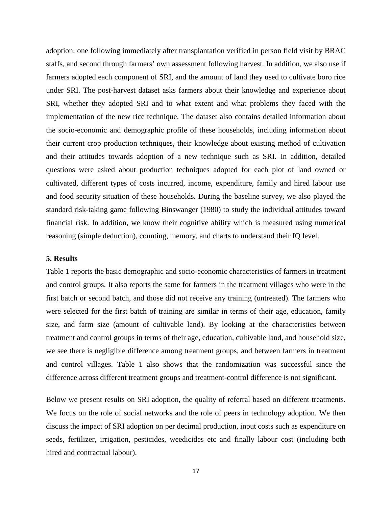adoption: one following immediately after transplantation verified in person field visit by BRAC staffs, and second through farmers' own assessment following harvest. In addition, we also use if farmers adopted each component of SRI, and the amount of land they used to cultivate boro rice under SRI. The post-harvest dataset asks farmers about their knowledge and experience about SRI, whether they adopted SRI and to what extent and what problems they faced with the implementation of the new rice technique. The dataset also contains detailed information about the socio-economic and demographic profile of these households, including information about their current crop production techniques, their knowledge about existing method of cultivation and their attitudes towards adoption of a new technique such as SRI. In addition, detailed questions were asked about production techniques adopted for each plot of land owned or cultivated, different types of costs incurred, income, expenditure, family and hired labour use and food security situation of these households. During the baseline survey, we also played the standard risk-taking game following Binswanger (1980) to study the individual attitudes toward financial risk. In addition, we know their cognitive ability which is measured using numerical reasoning (simple deduction), counting, memory, and charts to understand their IQ level.

#### **5. Results**

Table 1 reports the basic demographic and socio-economic characteristics of farmers in treatment and control groups. It also reports the same for farmers in the treatment villages who were in the first batch or second batch, and those did not receive any training (untreated). The farmers who were selected for the first batch of training are similar in terms of their age, education, family size, and farm size (amount of cultivable land). By looking at the characteristics between treatment and control groups in terms of their age, education, cultivable land, and household size, we see there is negligible difference among treatment groups, and between farmers in treatment and control villages. Table 1 also shows that the randomization was successful since the difference across different treatment groups and treatment-control difference is not significant.

Below we present results on SRI adoption, the quality of referral based on different treatments. We focus on the role of social networks and the role of peers in technology adoption. We then discuss the impact of SRI adoption on per decimal production, input costs such as expenditure on seeds, fertilizer, irrigation, pesticides, weedicides etc and finally labour cost (including both hired and contractual labour).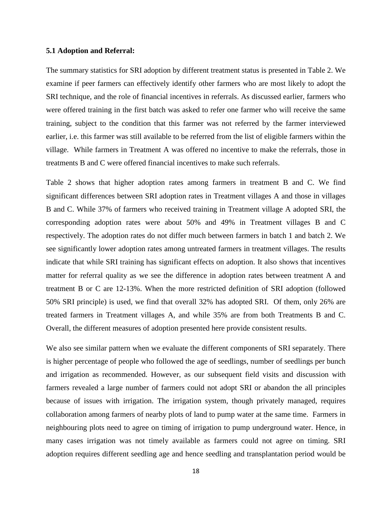#### **5.1 Adoption and Referral:**

The summary statistics for SRI adoption by different treatment status is presented in Table 2. We examine if peer farmers can effectively identify other farmers who are most likely to adopt the SRI technique, and the role of financial incentives in referrals. As discussed earlier, farmers who were offered training in the first batch was asked to refer one farmer who will receive the same training, subject to the condition that this farmer was not referred by the farmer interviewed earlier, i.e. this farmer was still available to be referred from the list of eligible farmers within the village. While farmers in Treatment A was offered no incentive to make the referrals, those in treatments B and C were offered financial incentives to make such referrals.

Table 2 shows that higher adoption rates among farmers in treatment B and C. We find significant differences between SRI adoption rates in Treatment villages A and those in villages B and C. While 37% of farmers who received training in Treatment village A adopted SRI, the corresponding adoption rates were about 50% and 49% in Treatment villages B and C respectively. The adoption rates do not differ much between farmers in batch 1 and batch 2. We see significantly lower adoption rates among untreated farmers in treatment villages. The results indicate that while SRI training has significant effects on adoption. It also shows that incentives matter for referral quality as we see the difference in adoption rates between treatment A and treatment B or C are 12-13%. When the more restricted definition of SRI adoption (followed 50% SRI principle) is used, we find that overall 32% has adopted SRI. Of them, only 26% are treated farmers in Treatment villages A, and while 35% are from both Treatments B and C. Overall, the different measures of adoption presented here provide consistent results.

We also see similar pattern when we evaluate the different components of SRI separately. There is higher percentage of people who followed the age of seedlings, number of seedlings per bunch and irrigation as recommended. However, as our subsequent field visits and discussion with farmers revealed a large number of farmers could not adopt SRI or abandon the all principles because of issues with irrigation. The irrigation system, though privately managed, requires collaboration among farmers of nearby plots of land to pump water at the same time. Farmers in neighbouring plots need to agree on timing of irrigation to pump underground water. Hence, in many cases irrigation was not timely available as farmers could not agree on timing. SRI adoption requires different seedling age and hence seedling and transplantation period would be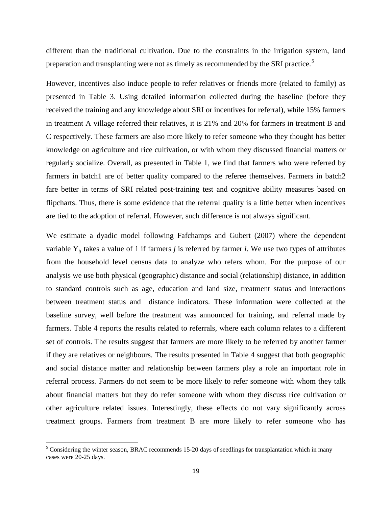different than the traditional cultivation. Due to the constraints in the irrigation system, land preparation and transplanting were not as timely as recommended by the SRI practice.<sup>[5](#page-19-0)</sup>

However, incentives also induce people to refer relatives or friends more (related to family) as presented in Table 3. Using detailed information collected during the baseline (before they received the training and any knowledge about SRI or incentives for referral), while 15% farmers in treatment A village referred their relatives, it is 21% and 20% for farmers in treatment B and C respectively. These farmers are also more likely to refer someone who they thought has better knowledge on agriculture and rice cultivation, or with whom they discussed financial matters or regularly socialize. Overall, as presented in Table 1, we find that farmers who were referred by farmers in batch1 are of better quality compared to the referee themselves. Farmers in batch2 fare better in terms of SRI related post-training test and cognitive ability measures based on flipcharts. Thus, there is some evidence that the referral quality is a little better when incentives are tied to the adoption of referral. However, such difference is not always significant.

We estimate a dyadic model following Fafchamps and Gubert (2007) where the dependent variable Y*ij* takes a value of 1 if farmers *j* is referred by farmer *i*. We use two types of attributes from the household level census data to analyze who refers whom. For the purpose of our analysis we use both physical (geographic) distance and social (relationship) distance, in addition to standard controls such as age, education and land size, treatment status and interactions between treatment status and distance indicators. These information were collected at the baseline survey, well before the treatment was announced for training, and referral made by farmers. Table 4 reports the results related to referrals, where each column relates to a different set of controls. The results suggest that farmers are more likely to be referred by another farmer if they are relatives or neighbours. The results presented in Table 4 suggest that both geographic and social distance matter and relationship between farmers play a role an important role in referral process. Farmers do not seem to be more likely to refer someone with whom they talk about financial matters but they do refer someone with whom they discuss rice cultivation or other agriculture related issues. Interestingly, these effects do not vary significantly across treatment groups. Farmers from treatment B are more likely to refer someone who has

 $\overline{\phantom{a}}$ 

<span id="page-19-0"></span><sup>&</sup>lt;sup>5</sup> Considering the winter season, BRAC recommends 15-20 days of seedlings for transplantation which in many cases were 20-25 days.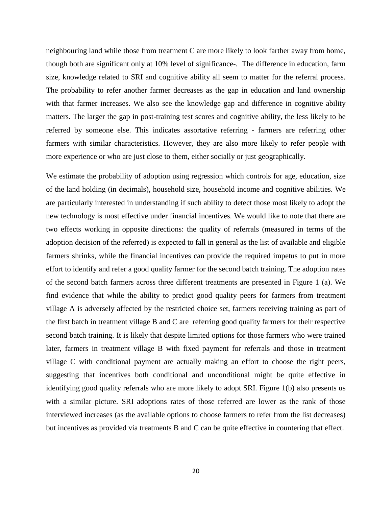neighbouring land while those from treatment C are more likely to look farther away from home, though both are significant only at 10% level of significance-. The difference in education, farm size, knowledge related to SRI and cognitive ability all seem to matter for the referral process. The probability to refer another farmer decreases as the gap in education and land ownership with that farmer increases. We also see the knowledge gap and difference in cognitive ability matters. The larger the gap in post-training test scores and cognitive ability, the less likely to be referred by someone else. This indicates assortative referring - farmers are referring other farmers with similar characteristics. However, they are also more likely to refer people with more experience or who are just close to them, either socially or just geographically.

We estimate the probability of adoption using regression which controls for age, education, size of the land holding (in decimals), household size, household income and cognitive abilities. We are particularly interested in understanding if such ability to detect those most likely to adopt the new technology is most effective under financial incentives. We would like to note that there are two effects working in opposite directions: the quality of referrals (measured in terms of the adoption decision of the referred) is expected to fall in general as the list of available and eligible farmers shrinks, while the financial incentives can provide the required impetus to put in more effort to identify and refer a good quality farmer for the second batch training. The adoption rates of the second batch farmers across three different treatments are presented in Figure 1 (a). We find evidence that while the ability to predict good quality peers for farmers from treatment village A is adversely affected by the restricted choice set, farmers receiving training as part of the first batch in treatment village B and C are referring good quality farmers for their respective second batch training. It is likely that despite limited options for those farmers who were trained later, farmers in treatment village B with fixed payment for referrals and those in treatment village C with conditional payment are actually making an effort to choose the right peers, suggesting that incentives both conditional and unconditional might be quite effective in identifying good quality referrals who are more likely to adopt SRI. Figure 1(b) also presents us with a similar picture. SRI adoptions rates of those referred are lower as the rank of those interviewed increases (as the available options to choose farmers to refer from the list decreases) but incentives as provided via treatments B and C can be quite effective in countering that effect.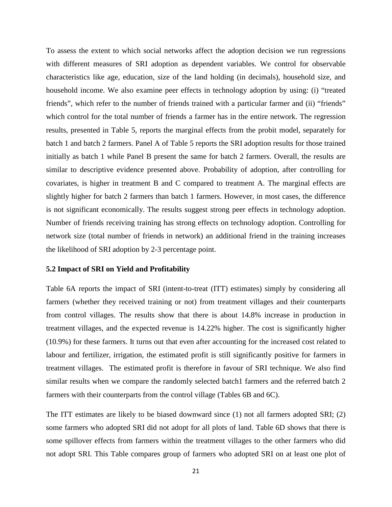To assess the extent to which social networks affect the adoption decision we run regressions with different measures of SRI adoption as dependent variables. We control for observable characteristics like age, education, size of the land holding (in decimals), household size, and household income. We also examine peer effects in technology adoption by using: (i) "treated friends", which refer to the number of friends trained with a particular farmer and (ii) "friends" which control for the total number of friends a farmer has in the entire network. The regression results, presented in Table 5, reports the marginal effects from the probit model, separately for batch 1 and batch 2 farmers. Panel A of Table 5 reports the SRI adoption results for those trained initially as batch 1 while Panel B present the same for batch 2 farmers. Overall, the results are similar to descriptive evidence presented above. Probability of adoption, after controlling for covariates, is higher in treatment B and C compared to treatment A. The marginal effects are slightly higher for batch 2 farmers than batch 1 farmers. However, in most cases, the difference is not significant economically. The results suggest strong peer effects in technology adoption. Number of friends receiving training has strong effects on technology adoption. Controlling for network size (total number of friends in network) an additional friend in the training increases the likelihood of SRI adoption by 2-3 percentage point.

#### **5.2 Impact of SRI on Yield and Profitability**

Table 6A reports the impact of SRI (intent-to-treat (ITT) estimates) simply by considering all farmers (whether they received training or not) from treatment villages and their counterparts from control villages. The results show that there is about 14.8% increase in production in treatment villages, and the expected revenue is 14.22% higher. The cost is significantly higher (10.9%) for these farmers. It turns out that even after accounting for the increased cost related to labour and fertilizer, irrigation, the estimated profit is still significantly positive for farmers in treatment villages. The estimated profit is therefore in favour of SRI technique. We also find similar results when we compare the randomly selected batch1 farmers and the referred batch 2 farmers with their counterparts from the control village (Tables 6B and 6C).

The ITT estimates are likely to be biased downward since (1) not all farmers adopted SRI; (2) some farmers who adopted SRI did not adopt for all plots of land. Table 6D shows that there is some spillover effects from farmers within the treatment villages to the other farmers who did not adopt SRI. This Table compares group of farmers who adopted SRI on at least one plot of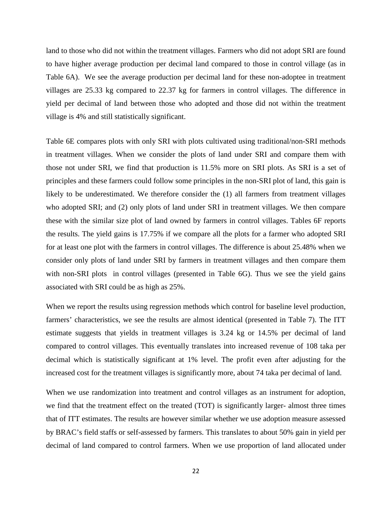land to those who did not within the treatment villages. Farmers who did not adopt SRI are found to have higher average production per decimal land compared to those in control village (as in Table 6A). We see the average production per decimal land for these non-adoptee in treatment villages are 25.33 kg compared to 22.37 kg for farmers in control villages. The difference in yield per decimal of land between those who adopted and those did not within the treatment village is 4% and still statistically significant.

Table 6E compares plots with only SRI with plots cultivated using traditional/non-SRI methods in treatment villages. When we consider the plots of land under SRI and compare them with those not under SRI, we find that production is 11.5% more on SRI plots. As SRI is a set of principles and these farmers could follow some principles in the non-SRI plot of land, this gain is likely to be underestimated. We therefore consider the (1) all farmers from treatment villages who adopted SRI; and (2) only plots of land under SRI in treatment villages. We then compare these with the similar size plot of land owned by farmers in control villages. Tables 6F reports the results. The yield gains is 17.75% if we compare all the plots for a farmer who adopted SRI for at least one plot with the farmers in control villages. The difference is about 25.48% when we consider only plots of land under SRI by farmers in treatment villages and then compare them with non-SRI plots in control villages (presented in Table 6G). Thus we see the yield gains associated with SRI could be as high as 25%.

When we report the results using regression methods which control for baseline level production, farmers' characteristics, we see the results are almost identical (presented in Table 7). The ITT estimate suggests that yields in treatment villages is 3.24 kg or 14.5% per decimal of land compared to control villages. This eventually translates into increased revenue of 108 taka per decimal which is statistically significant at 1% level. The profit even after adjusting for the increased cost for the treatment villages is significantly more, about 74 taka per decimal of land.

When we use randomization into treatment and control villages as an instrument for adoption, we find that the treatment effect on the treated (TOT) is significantly larger- almost three times that of ITT estimates. The results are however similar whether we use adoption measure assessed by BRAC's field staffs or self-assessed by farmers. This translates to about 50% gain in yield per decimal of land compared to control farmers. When we use proportion of land allocated under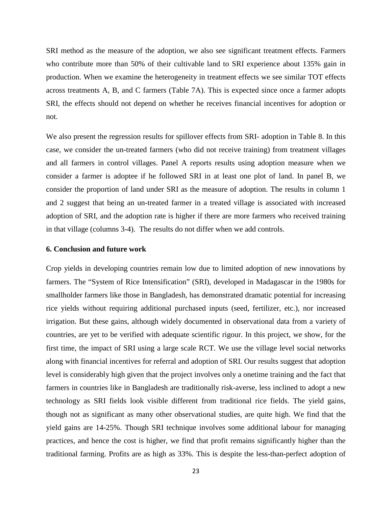SRI method as the measure of the adoption, we also see significant treatment effects. Farmers who contribute more than 50% of their cultivable land to SRI experience about 135% gain in production. When we examine the heterogeneity in treatment effects we see similar TOT effects across treatments A, B, and C farmers (Table 7A). This is expected since once a farmer adopts SRI, the effects should not depend on whether he receives financial incentives for adoption or not.

We also present the regression results for spillover effects from SRI- adoption in Table 8. In this case, we consider the un-treated farmers (who did not receive training) from treatment villages and all farmers in control villages. Panel A reports results using adoption measure when we consider a farmer is adoptee if he followed SRI in at least one plot of land. In panel B, we consider the proportion of land under SRI as the measure of adoption. The results in column 1 and 2 suggest that being an un-treated farmer in a treated village is associated with increased adoption of SRI, and the adoption rate is higher if there are more farmers who received training in that village (columns 3-4). The results do not differ when we add controls.

#### **6. Conclusion and future work**

Crop yields in developing countries remain low due to limited adoption of new innovations by farmers. The "System of Rice Intensification" (SRI), developed in Madagascar in the 1980s for smallholder farmers like those in Bangladesh, has demonstrated dramatic potential for increasing rice yields without requiring additional purchased inputs (seed, fertilizer, etc.), nor increased irrigation. But these gains, although widely documented in observational data from a variety of countries, are yet to be verified with adequate scientific rigour. In this project, we show, for the first time, the impact of SRI using a large scale RCT. We use the village level social networks along with financial incentives for referral and adoption of SRI. Our results suggest that adoption level is considerably high given that the project involves only a onetime training and the fact that farmers in countries like in Bangladesh are traditionally risk-averse, less inclined to adopt a new technology as SRI fields look visible different from traditional rice fields. The yield gains, though not as significant as many other observational studies, are quite high. We find that the yield gains are 14-25%. Though SRI technique involves some additional labour for managing practices, and hence the cost is higher, we find that profit remains significantly higher than the traditional farming. Profits are as high as 33%. This is despite the less-than-perfect adoption of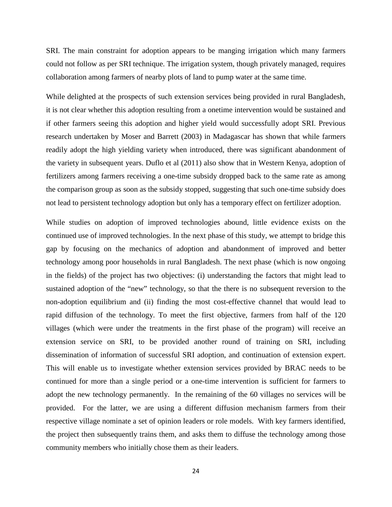SRI. The main constraint for adoption appears to be manging irrigation which many farmers could not follow as per SRI technique. The irrigation system, though privately managed, requires collaboration among farmers of nearby plots of land to pump water at the same time.

While delighted at the prospects of such extension services being provided in rural Bangladesh, it is not clear whether this adoption resulting from a onetime intervention would be sustained and if other farmers seeing this adoption and higher yield would successfully adopt SRI. Previous research undertaken by Moser and Barrett (2003) in Madagascar has shown that while farmers readily adopt the high yielding variety when introduced, there was significant abandonment of the variety in subsequent years. Duflo et al (2011) also show that in Western Kenya, adoption of fertilizers among farmers receiving a one-time subsidy dropped back to the same rate as among the comparison group as soon as the subsidy stopped, suggesting that such one-time subsidy does not lead to persistent technology adoption but only has a temporary effect on fertilizer adoption.

While studies on adoption of improved technologies abound, little evidence exists on the continued use of improved technologies. In the next phase of this study, we attempt to bridge this gap by focusing on the mechanics of adoption and abandonment of improved and better technology among poor households in rural Bangladesh. The next phase (which is now ongoing in the fields) of the project has two objectives: (i) understanding the factors that might lead to sustained adoption of the "new" technology, so that the there is no subsequent reversion to the non-adoption equilibrium and (ii) finding the most cost-effective channel that would lead to rapid diffusion of the technology. To meet the first objective, farmers from half of the 120 villages (which were under the treatments in the first phase of the program) will receive an extension service on SRI, to be provided another round of training on SRI, including dissemination of information of successful SRI adoption, and continuation of extension expert. This will enable us to investigate whether extension services provided by BRAC needs to be continued for more than a single period or a one-time intervention is sufficient for farmers to adopt the new technology permanently. In the remaining of the 60 villages no services will be provided. For the latter, we are using a different diffusion mechanism farmers from their respective village nominate a set of opinion leaders or role models. With key farmers identified, the project then subsequently trains them, and asks them to diffuse the technology among those community members who initially chose them as their leaders.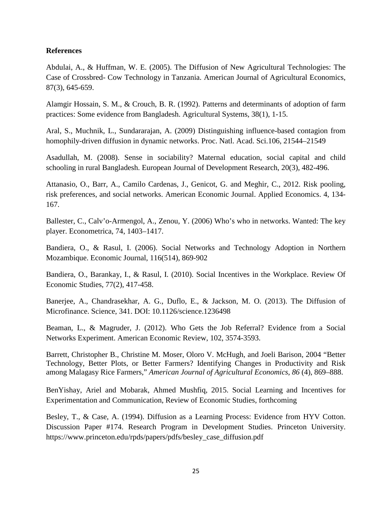### **References**

Abdulai, A., & Huffman, W. E. (2005). The Diffusion of New Agricultural Technologies: The Case of Crossbred- Cow Technology in Tanzania. American Journal of Agricultural Economics, 87(3), 645-659.

Alamgir Hossain, S. M., & Crouch, B. R. (1992). Patterns and determinants of adoption of farm practices: Some evidence from Bangladesh. Agricultural Systems, 38(1), 1-15.

Aral, S., Muchnik, L., Sundararajan, A. (2009) Distinguishing influence-based contagion from homophily-driven diffusion in dynamic networks. Proc. Natl. Acad. Sci.106, 21544–21549

Asadullah, M. (2008). Sense in sociability? Maternal education, social capital and child schooling in rural Bangladesh. European Journal of Development Research, 20(3), 482-496.

Attanasio, O., Barr, A., Camilo Cardenas, J., Genicot, G. and Meghir, C., 2012. Risk pooling, risk preferences, and social networks. American Economic Journal. Applied Economics. 4, 134- 167.

Ballester, C., Calv'o-Armengol, A., Zenou, Y. (2006) Who's who in networks. Wanted: The key player. Econometrica, 74, 1403–1417.

Bandiera, O., & Rasul, I. (2006). Social Networks and Technology Adoption in Northern Mozambique. Economic Journal, 116(514), 869-902

Bandiera, O., Barankay, I., & Rasul, I. (2010). Social Incentives in the Workplace. Review Of Economic Studies, 77(2), 417-458.

Banerjee, A., Chandrasekhar, A. G., Duflo, E., & Jackson, M. O. (2013). The Diffusion of Microfinance. Science, 341. DOI: 10.1126/science.1236498

Beaman, L., & Magruder, J. (2012). Who Gets the Job Referral? Evidence from a Social Networks Experiment. American Economic Review, 102, 3574-3593.

Barrett, Christopher B., Christine M. Moser, Oloro V. McHugh, and Joeli Barison, 2004 "Better Technology, Better Plots, or Better Farmers? Identifying Changes in Productivity and Risk among Malagasy Rice Farmers," *American Journal of Agricultural Economics*, *86* (4), 869–888.

BenYishay, Ariel and Mobarak, Ahmed Mushfiq, 2015. Social Learning and Incentives for Experimentation and Communication, Review of Economic Studies, forthcoming

Besley, T., & Case, A. (1994). Diffusion as a Learning Process: Evidence from HYV Cotton. Discussion Paper #174. Research Program in Development Studies. Princeton University. https://www.princeton.edu/rpds/papers/pdfs/besley\_case\_diffusion.pdf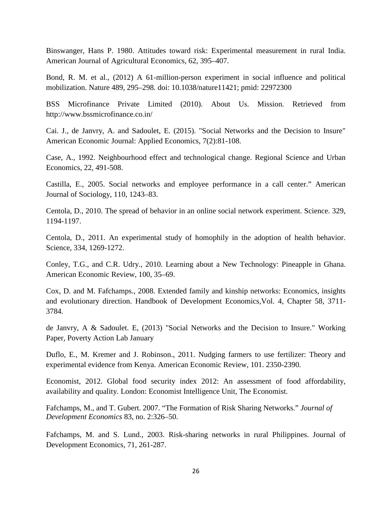Binswanger, Hans P. 1980. Attitudes toward risk: Experimental measurement in rural India. American Journal of Agricultural Economics, 62, 395–407.

Bond, R. M. et al., (2012) A 61-million-person experiment in social influence and political mobilization. Nature 489, 295–298. doi: 10.1038/nature11421; pmid: 22972300

BSS Microfinance Private Limited (2010). About Us. Mission. Retrieved from http://www.bssmicrofinance.co.in/

Cai. J., de Janvry, A. and Sadoulet, E. (2015). "Social Networks and the Decision to Insure" American Economic Journal: Applied Economics, 7(2):81-108.

Case, A., 1992. Neighbourhood effect and technological change. Regional Science and Urban Economics, 22, 491-508.

Castilla, E., 2005. Social networks and employee performance in a call center." American Journal of Sociology, 110, 1243–83.

Centola, D., 2010. The spread of behavior in an online social network experiment. Science. 329, 1194-1197.

Centola, D., 2011. An experimental study of homophily in the adoption of health behavior. Science, 334, 1269-1272.

Conley, T.G., and C.R. Udry., 2010. Learning about a New Technology: Pineapple in Ghana. American Economic Review, 100, 35–69.

Cox, D. and M. Fafchamps., 2008. Extended family and kinship networks: Economics, insights and evolutionary direction. Handbook of Development Economics,Vol. 4, Chapter 58, 3711- 3784.

de Janvry, A & Sadoulet. E, (2013) "Social Networks and the Decision to Insure." Working Paper, Poverty Action Lab January

Duflo, E., M. Kremer and J. Robinson., 2011. Nudging farmers to use fertilizer: Theory and experimental evidence from Kenya. American Economic Review, 101. 2350-2390.

Economist, 2012. Global food security index 2012: An assessment of food affordability, availability and quality. London: Economist Intelligence Unit, The Economist.

Fafchamps, M., and T. Gubert. 2007. "The Formation of Risk Sharing Networks." *Journal of Development Economics* 83, no. 2:326–50.

Fafchamps, M. and S. Lund., 2003. Risk-sharing networks in rural Philippines. Journal of Development Economics, 71, 261-287.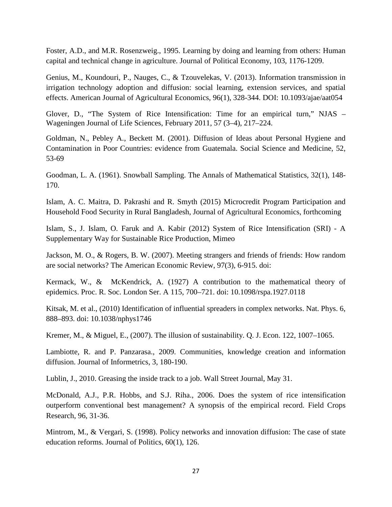Foster, A.D., and M.R. Rosenzweig., 1995. Learning by doing and learning from others: Human capital and technical change in agriculture. Journal of Political Economy, 103, 1176-1209.

Genius, M., Koundouri, P., Nauges, C., & Tzouvelekas, V. (2013). Information transmission in irrigation technology adoption and diffusion: social learning, extension services, and spatial effects. American Journal of Agricultural Economics, 96(1), 328-344. DOI: 10.1093/ajae/aat054

Glover, D., "The System of Rice Intensification: Time for an empirical turn," NJAS – Wageningen Journal of Life Sciences, February 2011, 57 (3–4), 217–224.

Goldman, N., Pebley A., Beckett M. (2001). Diffusion of Ideas about Personal Hygiene and Contamination in Poor Countries: evidence from Guatemala. Social Science and Medicine, 52, 53-69

Goodman, L. A. (1961). Snowball Sampling. The Annals of Mathematical Statistics, 32(1), 148- 170.

Islam, A. C. Maitra, D. Pakrashi and R. Smyth (2015) Microcredit Program Participation and Household Food Security in Rural Bangladesh, Journal of Agricultural Economics, forthcoming

Islam, S., J. Islam, O. Faruk and A. Kabir (2012) System of Rice Intensification (SRI) - A Supplementary Way for Sustainable Rice Production, Mimeo

Jackson, M. O., & Rogers, B. W. (2007). Meeting strangers and friends of friends: How random are social networks? The American Economic Review, 97(3), 6-915. doi:

Kermack, W., & McKendrick, A. (1927) A contribution to the mathematical theory of epidemics. Proc. R. Soc. London Ser. A 115, 700–721. doi: 10.1098/rspa.1927.0118

Kitsak, M. et al., (2010) Identification of influential spreaders in complex networks. Nat. Phys. 6, 888–893. doi: 10.1038/nphys1746

Kremer, M., & Miguel, E., (2007). The illusion of sustainability. Q. J. Econ. 122, 1007–1065.

Lambiotte, R. and P. Panzarasa., 2009. Communities, knowledge creation and information diffusion. Journal of Informetrics, 3, 180-190.

Lublin, J., 2010. Greasing the inside track to a job. Wall Street Journal, May 31.

McDonald, A.J., P.R. Hobbs, and S.J. Riha., 2006. Does the system of rice intensification outperform conventional best management? A synopsis of the empirical record. Field Crops Research, 96, 31-36.

Mintrom, M., & Vergari, S. (1998). Policy networks and innovation diffusion: The case of state education reforms. Journal of Politics, 60(1), 126.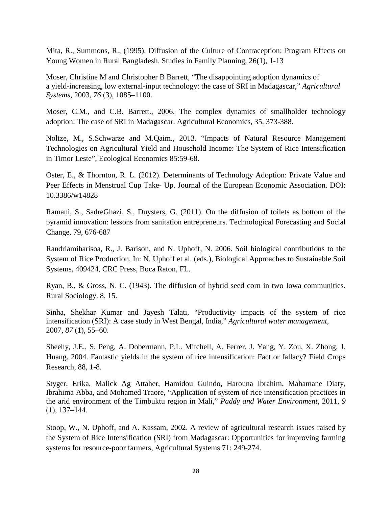Mita, R., Summons, R., (1995). Diffusion of the Culture of Contraception: Program Effects on Young Women in Rural Bangladesh. Studies in Family Planning, 26(1), 1-13

Moser, Christine M and Christopher B Barrett, "The disappointing adoption dynamics of a yield-increasing, low external-input technology: the case of SRI in Madagascar," *Agricultural Systems*, 2003, *76* (3), 1085–1100.

Moser, C.M., and C.B. Barrett., 2006. The complex dynamics of smallholder technology adoption: The case of SRI in Madagascar. Agricultural Economics, 35, 373-388.

Noltze, M., S.Schwarze and M.Qaim., 2013. "Impacts of Natural Resource Management Technologies on Agricultural Yield and Household Income: The System of Rice Intensification in Timor Leste", Ecological Economics 85:59-68.

Oster, E., & Thornton, R. L. (2012). Determinants of Technology Adoption: Private Value and Peer Effects in Menstrual Cup Take- Up. Journal of the European Economic Association. DOI: 10.3386/w14828

Ramani, S., SadreGhazi, S., Duysters, G. (2011). On the diffusion of toilets as bottom of the pyramid innovation: lessons from sanitation entrepreneurs. Technological Forecasting and Social Change, 79, 676-687

Randriamiharisoa, R., J. Barison, and N. Uphoff, N. 2006. Soil biological contributions to the System of Rice Production, In: N. Uphoff et al. (eds.), Biological Approaches to Sustainable Soil Systems, 409424, CRC Press, Boca Raton, FL.

Ryan, B., & Gross, N. C. (1943). The diffusion of hybrid seed corn in two Iowa communities. Rural Sociology. 8, 15.

Sinha, Shekhar Kumar and Jayesh Talati, "Productivity impacts of the system of rice intensification (SRI): A case study in West Bengal, India," *Agricultural water management*, 2007, *87* (1), 55–60.

Sheehy, J.E., S. Peng, A. Dobermann, P.L. Mitchell, A. Ferrer, J. Yang, Y. Zou, X. Zhong, J. Huang. 2004. Fantastic yields in the system of rice intensification: Fact or fallacy? Field Crops Research, 88, 1-8.

Styger, Erika, Malick Ag Attaher, Hamidou Guindo, Harouna Ibrahim, Mahamane Diaty, Ibrahima Abba, and Mohamed Traore, "Application of system of rice intensification practices in the arid environment of the Timbuktu region in Mali," *Paddy and Water Environment*, 2011, *9*  (1), 137–144.

Stoop, W., N. Uphoff, and A. Kassam, 2002. A review of agricultural research issues raised by the System of Rice Intensification (SRI) from Madagascar: Opportunities for improving farming systems for resource-poor farmers, Agricultural Systems 71: 249-274.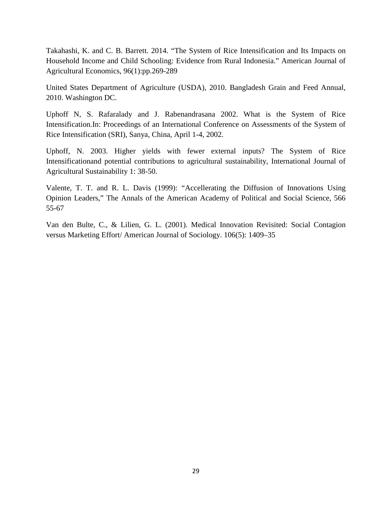Takahashi, K. and C. B. Barrett. 2014. "The System of Rice Intensification and Its Impacts on Household Income and Child Schooling: Evidence from Rural Indonesia." American Journal of Agricultural Economics, 96(1):pp.269-289

United States Department of Agriculture (USDA), 2010. Bangladesh Grain and Feed Annual, 2010. Washington DC.

Uphoff N, S. Rafaralady and J. Rabenandrasana 2002. What is the System of Rice Intensification.In: Proceedings of an International Conference on Assessments of the System of Rice Intensification (SRI), Sanya, China, April 1-4, 2002.

Uphoff, N. 2003. Higher yields with fewer external inputs? The System of Rice Intensificationand potential contributions to agricultural sustainability, International Journal of Agricultural Sustainability 1: 38-50.

Valente, T. T. and R. L. Davis (1999): "Accellerating the Diffusion of Innovations Using Opinion Leaders," The Annals of the American Academy of Political and Social Science, 566 55-67

Van den Bulte, C., & Lilien, G. L. (2001). Medical Innovation Revisited: Social Contagion versus Marketing Effort/ American Journal of Sociology. 106(5): 1409–35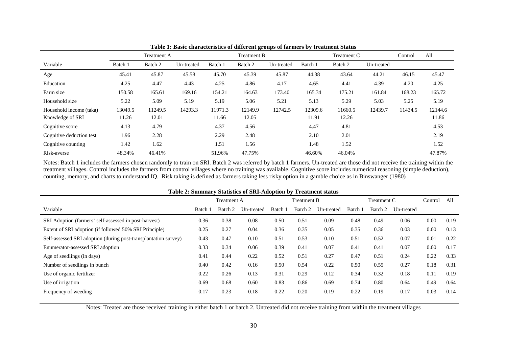|                          |         | <b>Treatment A</b> |            |         | <b>Treatment B</b> |            |         | Treatment C |            | Control | All     |
|--------------------------|---------|--------------------|------------|---------|--------------------|------------|---------|-------------|------------|---------|---------|
| Variable                 | Batch 1 | Batch 2            | Un-treated | Batch 1 | Batch 2            | Un-treated | Batch 1 | Batch 2     | Un-treated |         |         |
| Age                      | 45.41   | 45.87              | 45.58      | 45.70   | 45.39              | 45.87      | 44.38   | 43.64       | 44.21      | 46.15   | 45.47   |
| Education                | 4.25    | 4.47               | 4.43       | 4.25    | 4.86               | 4.17       | 4.65    | 4.41        | 4.39       | 4.20    | 4.25    |
| Farm size                | 150.58  | 165.61             | 169.16     | 154.21  | 164.63             | 173.40     | 165.34  | 175.21      | 161.84     | 168.23  | 165.72  |
| Household size           | 5.22    | 5.09               | 5.19       | 5.19    | 5.06               | 5.21       | 5.13    | 5.29        | 5.03       | 5.25    | 5.19    |
| Household income (taka)  | 13049.5 | 11249.5            | 14293.3    | 11971.3 | 12149.9            | 12742.5    | 12309.6 | 11660.5     | 12439.7    | 11434.5 | 12144.6 |
| Knowledge of SRI         | 11.26   | 12.01              |            | 11.66   | 12.05              |            | 11.91   | 12.26       |            |         | 11.86   |
| Cognitive score          | 4.13    | 4.79               |            | 4.37    | 4.56               |            | 4.47    | 4.81        |            |         | 4.53    |
| Cognitive deduction test | 1.96    | 2.28               |            | 2.29    | 2.48               |            | 2.10    | 2.01        |            |         | 2.19    |
| Cognitive counting       | 1.42    | 1.62               |            | 1.51    | 1.56               |            | 1.48    | 1.52        |            |         | 1.52    |
| Risk-averse              | 48.34%  | 46.41%             |            | 51.96%  | 47.75%             |            | 46.60%  | 46.04%      |            |         | 47.87%  |

**Table 1: Basic characteristics of different groups of farmers by treatment Status**

Notes: Batch 1 includes the farmers chosen randomly to train on SRI. Batch 2 was referred by batch 1 farmers. Un-treated are those did not receive the training within the treatment villages. Control includes the farmers from control villages where no training was available. Cognitive score includes numerical reasoning (simple deduction), counting, memory, and charts to understand IQ. Risk taking is defined as farmers taking less risky option in a gamble choice as in Binswanger (1980)

| Table 2: Summary Statistics of SRI-Adoption by Treatment status |         |                    |            |         |                    |            |         |             |            |         |      |
|-----------------------------------------------------------------|---------|--------------------|------------|---------|--------------------|------------|---------|-------------|------------|---------|------|
|                                                                 |         | <b>Treatment A</b> |            |         | <b>Treatment B</b> |            |         | Treatment C |            | Control | All  |
| Variable                                                        | Batch 1 | Batch 2            | Un-treated | Batch 1 | Batch 2            | Un-treated | Batch 1 | Batch 2     | Un-treated |         |      |
| SRI Adoption (farmers' self-assessed in post-harvest)           | 0.36    | 0.38               | 0.08       | 0.50    | 0.51               | 0.09       | 0.48    | 0.49        | 0.06       | 0.00    | 0.19 |
| Extent of SRI adoption (if followed 50% SRI Principle)          | 0.25    | 0.27               | 0.04       | 0.36    | 0.35               | 0.05       | 0.35    | 0.36        | 0.03       | 0.00    | 0.13 |
| Self-assessed SRI adoption (during post-transplantation survey) | 0.43    | 0.47               | 0.10       | 0.51    | 0.53               | 0.10       | 0.51    | 0.52        | 0.07       | 0.01    | 0.22 |
| Enumerator-assessed SRI adoption                                | 0.33    | 0.34               | 0.06       | 0.39    | 0.41               | 0.07       | 0.41    | 0.41        | 0.07       | 0.00    | 0.17 |
| Age of seedlings (in days)                                      | 0.41    | 0.44               | 0.22       | 0.52    | 0.51               | 0.27       | 0.47    | 0.51        | 0.24       | 0.22    | 0.33 |
| Number of seedlings in bunch                                    | 0.40    | 0.42               | 0.16       | 0.50    | 0.54               | 0.22       | 0.50    | 0.55        | 0.27       | 0.18    | 0.31 |
| Use of organic fertilizer                                       | 0.22    | 0.26               | 0.13       | 0.31    | 0.29               | 0.12       | 0.34    | 0.32        | 0.18       | 0.11    | 0.19 |
| Use of irrigation                                               | 0.69    | 0.68               | 0.60       | 0.83    | 0.86               | 0.69       | 0.74    | 0.80        | 0.64       | 0.49    | 0.64 |
| Frequency of weeding                                            | 0.17    | 0.23               | 0.18       | 0.22    | 0.20               | 0.19       | 0.22    | 0.19        | 0.17       | 0.03    | 0.14 |

#### **Table 2: Summary Statistics of SRI-Adoption by Treatment status**

Notes: Treated are those received training in either batch 1 or batch 2. Untreated did not receive training from within the treatment villages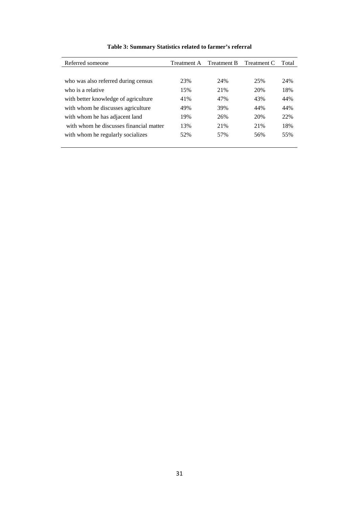| Referred someone                        | Treatment A | Treatment B | Treatment C | Total |
|-----------------------------------------|-------------|-------------|-------------|-------|
|                                         |             |             |             |       |
| who was also referred during census     | 23%         | 24%         | 25%         | 24%   |
| who is a relative                       | 15%         | 21%         | 20%         | 18%   |
| with better knowledge of agriculture    | 41%         | 47%         | 43%         | 44%   |
| with whom he discusses agriculture      | 49%         | 39%         | 44%         | 44%   |
| with whom he has adjacent land          | 19%         | 26%         | 20%         | 22%   |
| with whom he discusses financial matter | 13%         | 21%         | 21%         | 18%   |
| with whom he regularly socializes       | 52%         | 57%         | 56%         | 55%   |
|                                         |             |             |             |       |

## **Table 3: Summary Statistics related to farmer's referral**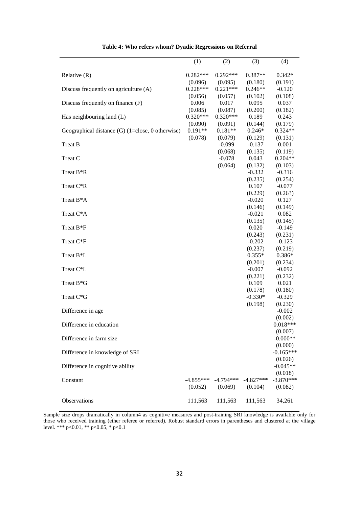|                                                    | (1)        | (2)                     | (3)         | (4)         |
|----------------------------------------------------|------------|-------------------------|-------------|-------------|
|                                                    |            |                         |             |             |
| Relative $(R)$                                     | $0.282***$ | $0.292***$              | 0.387**     | $0.342*$    |
|                                                    | (0.096)    | (0.095)                 | (0.180)     | (0.191)     |
| Discuss frequently on agriculture (A)              | $0.228***$ | $0.221***$              | $0.246**$   | $-0.120$    |
|                                                    | (0.056)    | (0.057)                 | (0.102)     | (0.108)     |
| Discuss frequently on finance (F)                  | 0.006      | 0.017                   | 0.095       | 0.037       |
|                                                    | (0.085)    | (0.087)                 | (0.200)     | (0.182)     |
| Has neighbouring land (L)                          | $0.320***$ | $0.320***$              | 0.189       | 0.243       |
|                                                    | (0.090)    | (0.091)                 | (0.144)     | (0.179)     |
| Geographical distance $(G)$ (1=close, 0 otherwise) | $0.191**$  | $0.181**$               | $0.246*$    | $0.324**$   |
|                                                    | (0.078)    | (0.079)                 | (0.129)     | (0.131)     |
| Treat B                                            |            | $-0.099$                | $-0.137$    | 0.001       |
|                                                    |            | (0.068)                 | (0.135)     | (0.119)     |
| Treat C                                            |            | $-0.078$                | 0.043       | $0.204**$   |
|                                                    |            | (0.064)                 | (0.132)     | (0.103)     |
| Treat B <sup>*</sup> R                             |            |                         | $-0.332$    | $-0.316$    |
|                                                    |            |                         | (0.235)     | (0.254)     |
| Treat C*R                                          |            |                         | 0.107       | $-0.077$    |
|                                                    |            |                         | (0.229)     | (0.263)     |
| Treat B*A                                          |            |                         | $-0.020$    | 0.127       |
|                                                    |            |                         | (0.146)     | (0.149)     |
| Treat C*A                                          |            |                         | $-0.021$    | 0.082       |
|                                                    |            |                         | (0.135)     | (0.145)     |
| Treat B <sup>*</sup> F                             |            |                         | 0.020       | $-0.149$    |
|                                                    |            |                         | (0.243)     | (0.231)     |
| Treat C*F                                          |            |                         | $-0.202$    | $-0.123$    |
|                                                    |            |                         | (0.237)     | (0.219)     |
| Treat B <sup>*</sup> L                             |            |                         | $0.355*$    | $0.386*$    |
|                                                    |            |                         | (0.201)     | (0.234)     |
| Treat C <sup>*</sup> L                             |            |                         | $-0.007$    | $-0.092$    |
|                                                    |            |                         | (0.221)     | (0.232)     |
| Treat B*G                                          |            |                         | 0.109       | 0.021       |
|                                                    |            |                         | (0.178)     | (0.180)     |
| Treat C*G                                          |            |                         | $-0.330*$   | $-0.329$    |
|                                                    |            |                         | (0.198)     | (0.230)     |
| Difference in age                                  |            |                         |             | $-0.002$    |
|                                                    |            |                         |             | (0.002)     |
| Difference in education                            |            |                         |             | $0.018***$  |
|                                                    |            |                         |             | (0.007)     |
| Difference in farm size                            |            |                         |             | $-0.000**$  |
|                                                    |            |                         |             | (0.000)     |
| Difference in knowledge of SRI                     |            |                         |             | $-0.165***$ |
|                                                    |            |                         |             | (0.026)     |
| Difference in cognitive ability                    |            |                         |             | $-0.045**$  |
|                                                    |            |                         |             | (0.018)     |
| Constant                                           |            | $-4.855***$ $-4.794***$ | $-4.827***$ | $-3.870***$ |
|                                                    | (0.052)    | (0.069)                 | (0.104)     | (0.082)     |
|                                                    |            |                         |             |             |
| Observations                                       | 111,563    | 111,563                 | 111,563     | 34,261      |

**Table 4: Who refers whom? Dyadic Regressions on Referral** 

Sample size drops dramatically in column4 as cognitive measures and post-training SRI knowledge is available only for those who received training (ether referee or referred). Robust standard errors in parentheses and clustered at the village level. \*\*\* p<0.01, \*\* p<0.05, \* p<0.1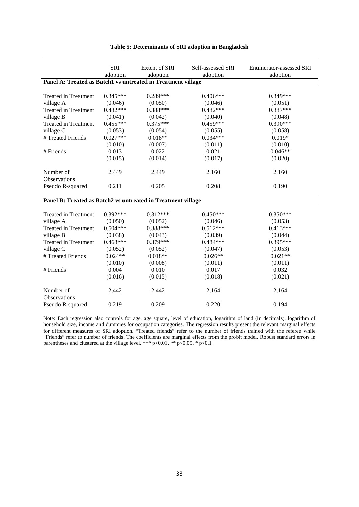|                                                              | <b>SRI</b><br>adoption | Extent of SRI<br>adoption | Self-assessed SRI<br>adoption | <b>Enumerator-assessed SRI</b><br>adoption |
|--------------------------------------------------------------|------------------------|---------------------------|-------------------------------|--------------------------------------------|
| Panel A: Treated as Batch1 vs untreated in Treatment village |                        |                           |                               |                                            |
|                                                              |                        |                           |                               |                                            |
| <b>Treated in Treatment</b>                                  | $0.345***$             | $0.289***$                | $0.406***$                    | $0.349***$                                 |
| village A                                                    | (0.046)                | (0.050)                   | (0.046)                       | (0.051)                                    |
| <b>Treated in Treatment</b>                                  | $0.482***$             | $0.388***$                | $0.482***$                    | $0.387***$                                 |
| village B                                                    | (0.041)                | (0.042)                   | (0.040)                       | (0.048)                                    |
| <b>Treated in Treatment</b>                                  | $0.455***$             | $0.375***$                | $0.459***$                    | $0.390***$                                 |
| village C                                                    | (0.053)                | (0.054)                   | (0.055)                       | (0.058)                                    |
| # Treated Friends                                            | $0.027***$             | $0.018**$                 | $0.034***$                    | $0.019*$                                   |
|                                                              | (0.010)                | (0.007)                   | (0.011)                       | (0.010)                                    |
| # Friends                                                    | 0.013                  | 0.022                     | 0.021                         | $0.046**$                                  |
|                                                              | (0.015)                | (0.014)                   | (0.017)                       | (0.020)                                    |
|                                                              |                        |                           |                               |                                            |
| Number of                                                    | 2,449                  | 2,449                     | 2,160                         | 2,160                                      |
| <b>Observations</b>                                          |                        |                           |                               |                                            |
| Pseudo R-squared                                             | 0.211                  | 0.205                     | 0.208                         | 0.190                                      |
|                                                              |                        |                           |                               |                                            |
| Panel B: Treated as Batch2 vs untreated in Treatment village |                        |                           |                               |                                            |
|                                                              |                        |                           |                               |                                            |
| <b>Treated in Treatment</b>                                  | $0.392***$             | $0.312***$                | $0.450***$                    | $0.350***$                                 |
| village A                                                    | (0.050)                | (0.052)                   | (0.046)                       | (0.053)                                    |
| <b>Treated in Treatment</b>                                  | $0.504***$             | $0.388***$                | $0.512***$                    | $0.413***$                                 |
| village B                                                    | (0.038)                | (0.043)                   | (0.039)                       | (0.044)                                    |
| <b>Treated in Treatment</b>                                  | $0.468***$             | $0.379***$                | $0.484***$                    | $0.395***$                                 |
| village C                                                    | (0.052)                | (0.052)                   | (0.047)                       | (0.053)                                    |
| # Treated Friends                                            | $0.024**$              | $0.018**$                 | $0.026**$                     | $0.021**$                                  |
|                                                              | (0.010)                | (0.008)                   | (0.011)                       | (0.011)                                    |
| # Friends                                                    | 0.004                  | 0.010                     | 0.017                         | 0.032                                      |
|                                                              | (0.016)                | (0.015)                   | (0.018)                       | (0.021)                                    |
|                                                              |                        |                           |                               |                                            |
| Number of                                                    | 2,442                  | 2,442                     | 2,164                         | 2,164                                      |
| <b>Observations</b>                                          |                        |                           |                               |                                            |
| Pseudo R-squared                                             | 0.219                  | 0.209                     | 0.220                         | 0.194                                      |
|                                                              |                        |                           |                               |                                            |

#### **Table 5: Determinants of SRI adoption in Bangladesh**

Note: Each regression also controls for age, age square, level of education, logarithm of land (in decimals), logarithm of household size, income and dummies for occupation categories. The regression results present the relevant marginal effects for different measures of SRI adoption. "Treated friends" refer to the number of friends trained with the referee while "Friends" refer to number of friends. The coefficients are marginal effects from the probit model. Robust standard errors in parentheses and clustered at the village level. \*\*\* p<0.01, \*\* p<0.05, \* p<0.1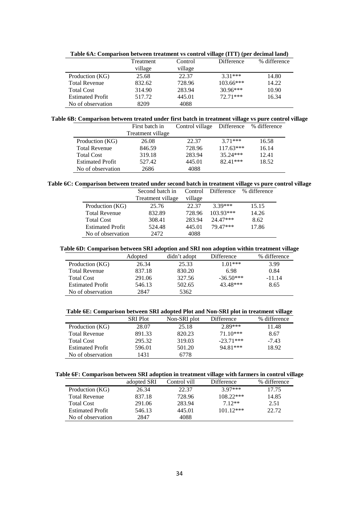|                         | Treatment | Control | Difference  | % difference |
|-------------------------|-----------|---------|-------------|--------------|
|                         | village   | village |             |              |
| Production (KG)         | 25.68     | 22.37   | $3.31***$   | 14.80        |
| <b>Total Revenue</b>    | 832.62    | 728.96  | $103.66***$ | 14.22        |
| <b>Total Cost</b>       | 314.90    | 283.94  | $30.96***$  | 10.90        |
| <b>Estimated Profit</b> | 517.72    | 445.01  | $72.71***$  | 16.34        |
| No of observation       | 8209      | 4088    |             |              |

**Table 6A: Comparison between treatment vs control village (ITT) (per decimal land)**

**Table 6B: Comparison between treated under first batch in treatment village vs pure control village**

|                         | First batch in    | Control village Difference % difference |             |       |
|-------------------------|-------------------|-----------------------------------------|-------------|-------|
|                         | Treatment village |                                         |             |       |
| Production (KG)         | 26.08             | 22.37                                   | $371***$    | 16.58 |
| <b>Total Revenue</b>    | 846.59            | 728.96                                  | $117.63***$ | 16.14 |
| <b>Total Cost</b>       | 319.18            | 283.94                                  | $35.24***$  | 12.41 |
| <b>Estimated Profit</b> | 527.42            | 445.01                                  | $82.41***$  | 18.52 |
| No of observation       | 2686              | 4088                                    |             |       |

#### **Table 6C: Comparison between treated under second batch in treatment village vs pure control village**

|                         | Second batch in   | Control | Difference  | % difference |
|-------------------------|-------------------|---------|-------------|--------------|
|                         | Treatment village | village |             |              |
| Production (KG)         | 25.76             | 22.37   | $3.39***$   | 15.15        |
| <b>Total Revenue</b>    | 832.89            | 728.96  | $103.93***$ | 14.26        |
| <b>Total Cost</b>       | 308.41            | 283.94  | $24.47***$  | 8.62         |
| <b>Estimated Profit</b> | 524.48            | 445.01  | 79 47***    | 17.86        |
| No of observation       | 2472              | 4088    |             |              |

#### **Table 6D: Comparison between SRI adoption and SRI non adoption within treatment village**

|                         | Adopted | didn't adopt | Difference  | % difference |
|-------------------------|---------|--------------|-------------|--------------|
| Production (KG)         | 26.34   | 25.33        | 1 01***     | 3.99         |
| <b>Total Revenue</b>    | 837.18  | 830.20       | 6.98        | 0.84         |
| <b>Total Cost</b>       | 291.06  | 327.56       | $-36.50***$ | $-11.14$     |
| <b>Estimated Profit</b> | 546.13  | 502.65       | 43.48***    | 8.65         |
| No of observation       | 2847    | 5362         |             |              |

#### **Table 6E: Comparison between SRI adopted Plot and Non-SRI plot in treatment village**

|                         | <b>SRI Plot</b> | Non-SRI plot | Difference  | % difference |
|-------------------------|-----------------|--------------|-------------|--------------|
| Production (KG)         | 28.07           | 25.18        | $2.89***$   | 11.48        |
| <b>Total Revenue</b>    | 891.33          | 820.23       | $71.10***$  | 8.67         |
| <b>Total Cost</b>       | 295.32          | 319.03       | $-23.71***$ | $-7.43$      |
| <b>Estimated Profit</b> | 596.01          | 501.20       | 94.81***    | 18.92        |
| No of observation       | 1431            | 6778         |             |              |

#### **Table 6F: Comparison between SRI adoption in treatment village with farmers in control village**

|                         | adopted SRI | Control vill | Difference  | % difference |
|-------------------------|-------------|--------------|-------------|--------------|
| Production (KG)         | 26.34       | 22.37        | $3.97***$   | 17.75        |
| <b>Total Revenue</b>    | 837.18      | 728.96       | $108.22***$ | 14.85        |
| <b>Total Cost</b>       | 291.06      | 283.94       | $7.12**$    | 2.51         |
| <b>Estimated Profit</b> | 546.13      | 445.01       | $101.12***$ | 22.72        |
| No of observation       | 2847        | 4088         |             |              |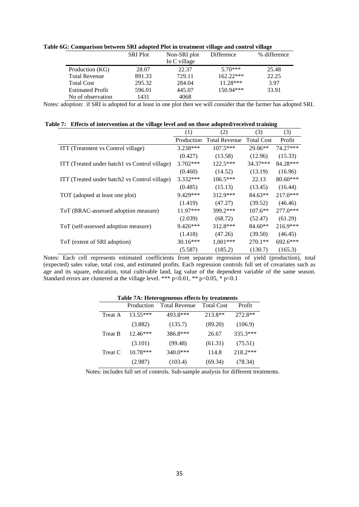**Table 6G: Comparison between SRI adopted Plot in treatment village and control village**

|                         | <b>SRI Plot</b> | Non-SRI plot | Difference  | % difference |
|-------------------------|-----------------|--------------|-------------|--------------|
|                         |                 | In C village |             |              |
| Production (KG)         | 28.07           | 22.37        | $5.70***$   | 25.48        |
| <b>Total Revenue</b>    | 891.33          | 729.11       | $162.22***$ | 22.25        |
| <b>Total Cost</b>       | 295.32          | 284.04       | $11.28***$  | 3.97         |
| <b>Estimated Profit</b> | 596.01          | 445.07       | 150.94***   | 33.91        |
| No of observation       | 1431            | 4068         |             |              |

Notes: adoption: if SRI is adopted for at least in one plot then we will consider that the farmer has adopted SRI.

| Table 7: Effects of intervention at the village level and on those adopted/received training |  |
|----------------------------------------------------------------------------------------------|--|
|                                                                                              |  |

|                                               | (1)        | (2)                  | (3)               | (3)        |
|-----------------------------------------------|------------|----------------------|-------------------|------------|
|                                               | Production | <b>Total Revenue</b> | <b>Total Cost</b> | Profit     |
| ITT (Treatment vs Control village)            | 3.238***   | $107.5***$           | $29.06**$         | 74.27***   |
|                                               | (0.427)    | (13.58)              | (12.96)           | (15.33)    |
| ITT (Treated under batch1 vs Control village) | $3.702***$ | $122.5***$           | $34.37***$        | 84.28***   |
|                                               | (0.460)    | (14.52)              | (13.19)           | (16.96)    |
| ITT (Treated under batch2 vs Control village) | $3.332***$ | $106.5***$           | 22.13             | $80.60***$ |
|                                               | (0.485)    | (15.13)              | (13.45)           | (16.44)    |
| TOT (adopted at least one plot)               | 9.429***   | 312.9***             | $84.63**$         | $217.0***$ |
|                                               | (1.419)    | (47.27)              | (39.52)           | (46.46)    |
| ToT (BRAC-assessed adoption measure)          | $11.97***$ | 399.2***             | $107.6**$         | $277.0***$ |
|                                               | (2.039)    | (68.72)              | (52.47)           | (61.29)    |
| ToT (self-assessed adoption measure)          | $9.426***$ | 312.8***             | $84.60**$         | $216.9***$ |
|                                               | (1.418)    | (47.26)              | (39.50)           | (46.45)    |
| ToT (extent of SRI adoption)                  | $30.16***$ | $1,001***$           | $270.1**$         | $692.6***$ |
|                                               | (5.587)    | (185.2)              | (130.7)           | (165.3)    |

Notes: Each cell represents estimated coefficients from separate regression of yield (production), total (expected) sales value, total cost, and estimated profits. Each regression controls full set of covariates such as age and its square, education, total cultivable land, lag value of the dependent variable of the same season. Standard errors are clustered at the village level. \*\*\*  $p<0.01$ , \*\*  $p<0.05$ , \*  $p<0.1$ 

| Table /A: Heterogeneous effects by treatments |                      |                   |          |  |  |  |  |
|-----------------------------------------------|----------------------|-------------------|----------|--|--|--|--|
| Production                                    | <b>Total Revenue</b> | <b>Total Cost</b> | Profit   |  |  |  |  |
| $13.55***$                                    | 493.8***             | 213.8**           | 272.8**  |  |  |  |  |
| (3.882)                                       | (135.7)              | (89.20)           | (106.9)  |  |  |  |  |
| 12.46***                                      | 386.8***             | 26.67             | 335.3*** |  |  |  |  |
| (3.101)                                       | (99.48)              | (61.31)           | (75.51)  |  |  |  |  |
| $10.78***$                                    | 340.0***             | 114.8             | 218.2*** |  |  |  |  |
| (2.987)                                       | (103.4)              | (69.34)           | (78.34)  |  |  |  |  |
|                                               |                      |                   |          |  |  |  |  |

 **Table 7A: Heterogeneous effects by treatments**

Notes: includes full set of controls. Sub-sample analysis for different treatments.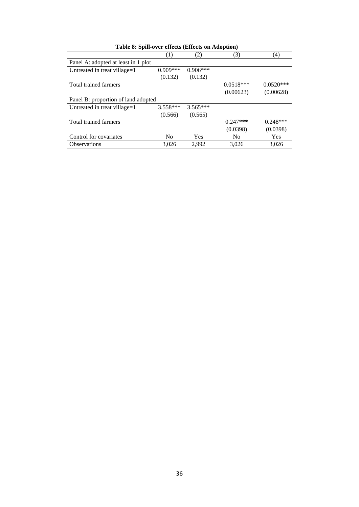| Table 8: Spill-over effects (Effects on Adoption) |                |            |             |             |  |  |  |  |
|---------------------------------------------------|----------------|------------|-------------|-------------|--|--|--|--|
|                                                   | (1)            | (2)        | (3)         | (4)         |  |  |  |  |
| Panel A: adopted at least in 1 plot               |                |            |             |             |  |  |  |  |
| Untreated in treat village=1                      | $0.909***$     | $0.906***$ |             |             |  |  |  |  |
|                                                   | (0.132)        | (0.132)    |             |             |  |  |  |  |
| Total trained farmers                             |                |            | $0.0518***$ | $0.0520***$ |  |  |  |  |
|                                                   |                |            | (0.00623)   | (0.00628)   |  |  |  |  |
| Panel B: proportion of land adopted               |                |            |             |             |  |  |  |  |
| Untreated in treat village=1                      | $3.558***$     | $3.565***$ |             |             |  |  |  |  |
|                                                   | (0.566)        | (0.565)    |             |             |  |  |  |  |
| Total trained farmers                             |                |            | $0.247***$  | $0.248***$  |  |  |  |  |
|                                                   |                |            | (0.0398)    | (0.0398)    |  |  |  |  |
| Control for covariates                            | N <sub>0</sub> | <b>Yes</b> | No.         | Yes         |  |  |  |  |
| <b>Observations</b>                               | 3,026          | 2,992      | 3,026       | 3,026       |  |  |  |  |